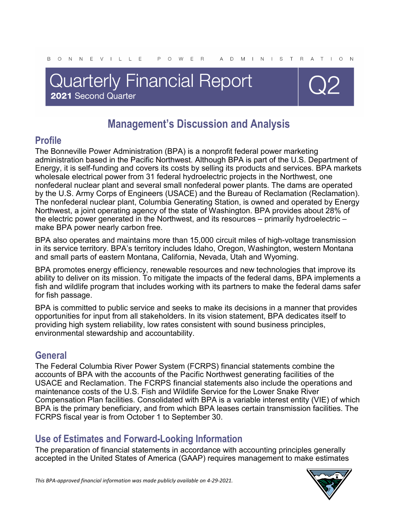# **Quarterly Financial Report** 2021 Second Quarter



# **Management's Discussion and Analysis**

## **Profile**

The Bonneville Power Administration (BPA) is a nonprofit federal power marketing administration based in the Pacific Northwest. Although BPA is part of the U.S. Department of Energy, it is self-funding and covers its costs by selling its products and services. BPA markets wholesale electrical power from 31 federal hydroelectric projects in the Northwest, one nonfederal nuclear plant and several small nonfederal power plants. The dams are operated by the U.S. Army Corps of Engineers (USACE) and the Bureau of Reclamation (Reclamation). The nonfederal nuclear plant, Columbia Generating Station, is owned and operated by Energy Northwest, a joint operating agency of the state of Washington. BPA provides about 28% of the electric power generated in the Northwest, and its resources – primarily hydroelectric – make BPA power nearly carbon free.

BPA also operates and maintains more than 15,000 circuit miles of high-voltage transmission in its service territory. BPA's territory includes Idaho, Oregon, Washington, western Montana and small parts of eastern Montana, California, Nevada, Utah and Wyoming.

BPA promotes energy efficiency, renewable resources and new technologies that improve its ability to deliver on its mission. To mitigate the impacts of the federal dams, BPA implements a fish and wildlife program that includes working with its partners to make the federal dams safer for fish passage.

BPA is committed to public service and seeks to make its decisions in a manner that provides opportunities for input from all stakeholders. In its vision statement, BPA dedicates itself to providing high system reliability, low rates consistent with sound business principles, environmental stewardship and accountability.

### **General**

The Federal Columbia River Power System (FCRPS) financial statements combine the accounts of BPA with the accounts of the Pacific Northwest generating facilities of the USACE and Reclamation. The FCRPS financial statements also include the operations and maintenance costs of the U.S. Fish and Wildlife Service for the Lower Snake River Compensation Plan facilities. Consolidated with BPA is a variable interest entity (VIE) of which BPA is the primary beneficiary, and from which BPA leases certain transmission facilities. The FCRPS fiscal year is from October 1 to September 30.

### **Use of Estimates and Forward-Looking Information**

The preparation of financial statements in accordance with accounting principles generally accepted in the United States of America (GAAP) requires management to make estimates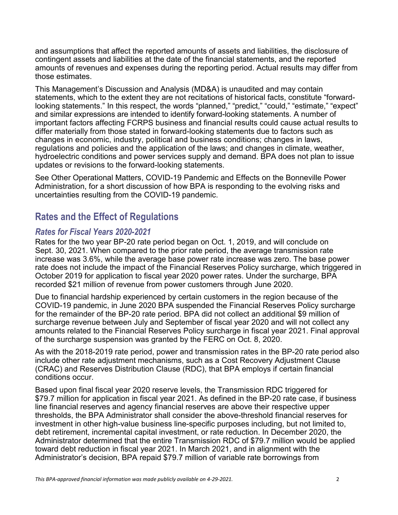and assumptions that affect the reported amounts of assets and liabilities, the disclosure of contingent assets and liabilities at the date of the financial statements, and the reported amounts of revenues and expenses during the reporting period. Actual results may differ from those estimates.

This Management's Discussion and Analysis (MD&A) is unaudited and may contain statements, which to the extent they are not recitations of historical facts, constitute "forwardlooking statements." In this respect, the words "planned," "predict," "could," "estimate," "expect" and similar expressions are intended to identify forward-looking statements. A number of important factors affecting FCRPS business and financial results could cause actual results to differ materially from those stated in forward-looking statements due to factors such as changes in economic, industry, political and business conditions; changes in laws, regulations and policies and the application of the laws; and changes in climate, weather, hydroelectric conditions and power services supply and demand. BPA does not plan to issue updates or revisions to the forward-looking statements.

See Other Operational Matters, COVID-19 Pandemic and Effects on the Bonneville Power Administration, for a short discussion of how BPA is responding to the evolving risks and uncertainties resulting from the COVID-19 pandemic.

### **Rates and the Effect of Regulations**

### *Rates for Fiscal Years 2020-2021*

Rates for the two year BP-20 rate period began on Oct. 1, 2019, and will conclude on Sept. 30, 2021. When compared to the prior rate period, the average transmission rate increase was 3.6%, while the average base power rate increase was zero. The base power rate does not include the impact of the Financial Reserves Policy surcharge, which triggered in October 2019 for application to fiscal year 2020 power rates. Under the surcharge, BPA recorded \$21 million of revenue from power customers through June 2020.

Due to financial hardship experienced by certain customers in the region because of the COVID-19 pandemic, in June 2020 BPA suspended the Financial Reserves Policy surcharge for the remainder of the BP-20 rate period. BPA did not collect an additional \$9 million of surcharge revenue between July and September of fiscal year 2020 and will not collect any amounts related to the Financial Reserves Policy surcharge in fiscal year 2021. Final approval of the surcharge suspension was granted by the FERC on Oct. 8, 2020.

As with the 2018-2019 rate period, power and transmission rates in the BP-20 rate period also include other rate adjustment mechanisms, such as a Cost Recovery Adjustment Clause (CRAC) and Reserves Distribution Clause (RDC), that BPA employs if certain financial conditions occur.

Based upon final fiscal year 2020 reserve levels, the Transmission RDC triggered for \$79.7 million for application in fiscal year 2021. As defined in the BP-20 rate case, if business line financial reserves and agency financial reserves are above their respective upper thresholds, the BPA Administrator shall consider the above-threshold financial reserves for investment in other high-value business line-specific purposes including, but not limited to, debt retirement, incremental capital investment, or rate reduction. In December 2020, the Administrator determined that the entire Transmission RDC of \$79.7 million would be applied toward debt reduction in fiscal year 2021. In March 2021, and in alignment with the Administrator's decision, BPA repaid \$79.7 million of variable rate borrowings from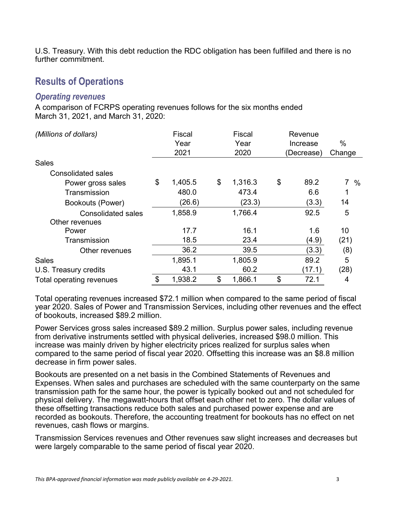U.S. Treasury. With this debt reduction the RDC obligation has been fulfilled and there is no further commitment.

### **Results of Operations**

#### *Operating revenues*

A comparison of FCRPS operating revenues follows for the six months ended March 31, 2021, and March 31, 2020:

| (Millions of dollars)     | Fiscal        | Fiscal        | Revenue    |        |
|---------------------------|---------------|---------------|------------|--------|
|                           | Year          | Year          | Increase   | $\%$   |
|                           | 2021          | 2020          | (Decrease) | Change |
| <b>Sales</b>              |               |               |            |        |
| <b>Consolidated sales</b> |               |               |            |        |
| Power gross sales         | \$<br>1,405.5 | \$<br>1,316.3 | \$<br>89.2 | $7\%$  |
| Transmission              | 480.0         | 473.4         | 6.6        |        |
| Bookouts (Power)          | (26.6)        | (23.3)        | (3.3)      | 14     |
| <b>Consolidated sales</b> | 1,858.9       | 1,766.4       | 92.5       | 5      |
| Other revenues            |               |               |            |        |
| Power                     | 17.7          | 16.1          | 1.6        | 10     |
| Transmission              | 18.5          | 23.4          | (4.9)      | (21)   |
| Other revenues            | 36.2          | 39.5          | (3.3)      | (8)    |
| <b>Sales</b>              | 1,895.1       | 1,805.9       | 89.2       | 5      |
| U.S. Treasury credits     | 43.1          | 60.2          | (17.1)     | (28)   |
| Total operating revenues  | \$<br>1,938.2 | \$<br>1,866.1 | \$<br>72.1 | 4      |

Total operating revenues increased \$72.1 million when compared to the same period of fiscal year 2020. Sales of Power and Transmission Services, including other revenues and the effect of bookouts, increased \$89.2 million.

Power Services gross sales increased \$89.2 million. Surplus power sales, including revenue from derivative instruments settled with physical deliveries, increased \$98.0 million. This increase was mainly driven by higher electricity prices realized for surplus sales when compared to the same period of fiscal year 2020. Offsetting this increase was an \$8.8 million decrease in firm power sales.

Bookouts are presented on a net basis in the Combined Statements of Revenues and Expenses. When sales and purchases are scheduled with the same counterparty on the same transmission path for the same hour, the power is typically booked out and not scheduled for physical delivery. The megawatt-hours that offset each other net to zero. The dollar values of these offsetting transactions reduce both sales and purchased power expense and are recorded as bookouts. Therefore, the accounting treatment for bookouts has no effect on net revenues, cash flows or margins.

Transmission Services revenues and Other revenues saw slight increases and decreases but were largely comparable to the same period of fiscal year 2020.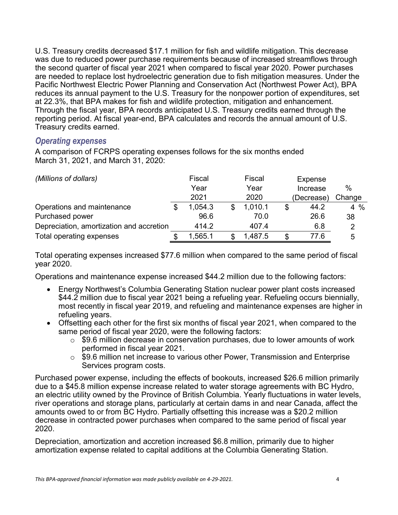U.S. Treasury credits decreased \$17.1 million for fish and wildlife mitigation. This decrease was due to reduced power purchase requirements because of increased streamflows through the second quarter of fiscal year 2021 when compared to fiscal year 2020. Power purchases are needed to replace lost hydroelectric generation due to fish mitigation measures. Under the Pacific Northwest Electric Power Planning and Conservation Act (Northwest Power Act), BPA reduces its annual payment to the U.S. Treasury for the nonpower portion of expenditures, set at 22.3%, that BPA makes for fish and wildlife protection, mitigation and enhancement. Through the fiscal year, BPA records anticipated U.S. Treasury credits earned through the reporting period. At fiscal year-end, BPA calculates and records the annual amount of U.S. Treasury credits earned.

#### *Operating expenses*

A comparison of FCRPS operating expenses follows for the six months ended March 31, 2021, and March 31, 2020:

| (Millions of dollars)                    | Fiscal  | Fiscal  |   | Expense    |        |
|------------------------------------------|---------|---------|---|------------|--------|
|                                          | Year    | Year    |   | Increase   | %      |
|                                          | 2021    | 2020    |   | (Decrease) | Change |
| Operations and maintenance               | 1,054.3 | 1,010.1 |   | 44.2       | $4\%$  |
| Purchased power                          | 96.6    | 70.0    |   | 26.6       | 38     |
| Depreciation, amortization and accretion | 414.2   | 407.4   |   | 6.8        | 2      |
| Total operating expenses                 | 1,565.1 | 1,487.5 | S | 77.6       | 5      |

Total operating expenses increased \$77.6 million when compared to the same period of fiscal year 2020.

Operations and maintenance expense increased \$44.2 million due to the following factors:

- Energy Northwest's Columbia Generating Station nuclear power plant costs increased \$44.2 million due to fiscal year 2021 being a refueling year. Refueling occurs biennially, most recently in fiscal year 2019, and refueling and maintenance expenses are higher in refueling years.
- Offsetting each other for the first six months of fiscal year 2021, when compared to the same period of fiscal year 2020, were the following factors:
	- $\circ$  \$9.6 million decrease in conservation purchases, due to lower amounts of work performed in fiscal year 2021.
	- $\circ$  \$9.6 million net increase to various other Power, Transmission and Enterprise Services program costs.

Purchased power expense, including the effects of bookouts, increased \$26.6 million primarily due to a \$45.8 million expense increase related to water storage agreements with BC Hydro, an electric utility owned by the Province of British Columbia. Yearly fluctuations in water levels, river operations and storage plans, particularly at certain dams in and near Canada, affect the amounts owed to or from BC Hydro. Partially offsetting this increase was a \$20.2 million decrease in contracted power purchases when compared to the same period of fiscal year 2020.

Depreciation, amortization and accretion increased \$6.8 million, primarily due to higher amortization expense related to capital additions at the Columbia Generating Station.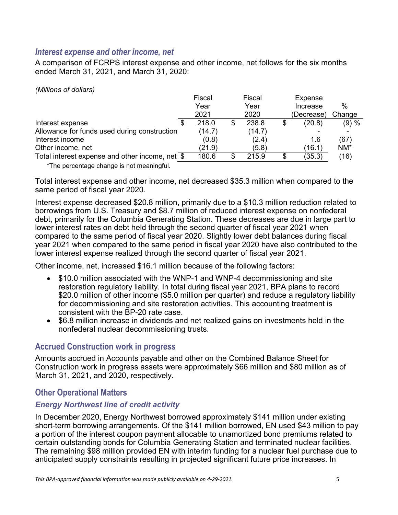#### *Interest expense and other income, net*

A comparison of FCRPS interest expense and other income, net follows for the six months ended March 31, 2021, and March 31, 2020:

*(Millions of dollars)*

|                                                                                                                                                 | Fiscal | Fiscal | Expense    |        |
|-------------------------------------------------------------------------------------------------------------------------------------------------|--------|--------|------------|--------|
|                                                                                                                                                 | Year   | Year   | Increase   | $\%$   |
|                                                                                                                                                 | 2021   | 2020   | (Decrease) | Change |
| Interest expense                                                                                                                                | 218.0  | 238.8  | (20.8)     | (9) %  |
| Allowance for funds used during construction                                                                                                    | (14.7) | (14.7) |            |        |
| Interest income                                                                                                                                 | (0.8)  | (2.4)  | 1.6        | (67)   |
| Other income, net                                                                                                                               | (21.9) | (5.8)  | (16.1)     | $NM^*$ |
| Total interest expense and other income, net \$                                                                                                 | 180.6  | 215.9  | (35.3)     | (16)   |
| $\mathbf{L}$ and $\mathbf{L}$<br>records and the contract of the contract of the contract of the contract of the contract of the contract of th |        |        |            |        |

\*The percentage change is not meaningful.

Total interest expense and other income, net decreased \$35.3 million when compared to the same period of fiscal year 2020.

Interest expense decreased \$20.8 million, primarily due to a \$10.3 million reduction related to borrowings from U.S. Treasury and \$8.7 million of reduced interest expense on nonfederal debt, primarily for the Columbia Generating Station. These decreases are due in large part to lower interest rates on debt held through the second quarter of fiscal year 2021 when compared to the same period of fiscal year 2020. Slightly lower debt balances during fiscal year 2021 when compared to the same period in fiscal year 2020 have also contributed to the lower interest expense realized through the second quarter of fiscal year 2021.

Other income, net, increased \$16.1 million because of the following factors:

- \$10.0 million associated with the WNP-1 and WNP-4 decommissioning and site restoration regulatory liability. In total during fiscal year 2021, BPA plans to record \$20.0 million of other income (\$5.0 million per quarter) and reduce a regulatory liability for decommissioning and site restoration activities. This accounting treatment is consistent with the BP-20 rate case.
- \$6.8 million increase in dividends and net realized gains on investments held in the nonfederal nuclear decommissioning trusts.

#### **Accrued Construction work in progress**

Amounts accrued in Accounts payable and other on the Combined Balance Sheet for Construction work in progress assets were approximately \$66 million and \$80 million as of March 31, 2021, and 2020, respectively.

### **Other Operational Matters**

### *Energy Northwest line of credit activity*

In December 2020, Energy Northwest borrowed approximately \$141 million under existing short-term borrowing arrangements. Of the \$141 million borrowed, EN used \$43 million to pay a portion of the interest coupon payment allocable to unamortized bond premiums related to certain outstanding bonds for Columbia Generating Station and terminated nuclear facilities. The remaining \$98 million provided EN with interim funding for a nuclear fuel purchase due to anticipated supply constraints resulting in projected significant future price increases. In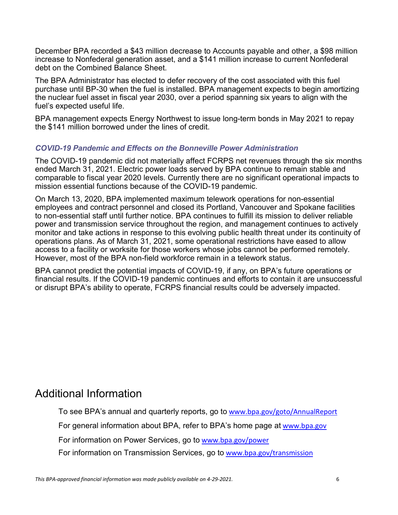December BPA recorded a \$43 million decrease to Accounts payable and other, a \$98 million increase to Nonfederal generation asset, and a \$141 million increase to current Nonfederal debt on the Combined Balance Sheet.

The BPA Administrator has elected to defer recovery of the cost associated with this fuel purchase until BP-30 when the fuel is installed. BPA management expects to begin amortizing the nuclear fuel asset in fiscal year 2030, over a period spanning six years to align with the fuel's expected useful life.

BPA management expects Energy Northwest to issue long-term bonds in May 2021 to repay the \$141 million borrowed under the lines of credit.

#### *COVID-19 Pandemic and Effects on the Bonneville Power Administration*

The COVID-19 pandemic did not materially affect FCRPS net revenues through the six months ended March 31, 2021. Electric power loads served by BPA continue to remain stable and comparable to fiscal year 2020 levels. Currently there are no significant operational impacts to mission essential functions because of the COVID-19 pandemic.

On March 13, 2020, BPA implemented maximum telework operations for non-essential employees and contract personnel and closed its Portland, Vancouver and Spokane facilities to non-essential staff until further notice. BPA continues to fulfill its mission to deliver reliable power and transmission service throughout the region, and management continues to actively monitor and take actions in response to this evolving public health threat under its continuity of operations plans. As of March 31, 2021, some operational restrictions have eased to allow access to a facility or worksite for those workers whose jobs cannot be performed remotely. However, most of the BPA non-field workforce remain in a telework status.

BPA cannot predict the potential impacts of COVID-19, if any, on BPA's future operations or financial results. If the COVID-19 pandemic continues and efforts to contain it are unsuccessful or disrupt BPA's ability to operate, FCRPS financial results could be adversely impacted.

## Additional Information

To see BPA's annual and quarterly reports, go to [www.bpa.gov/goto/AnnualReport](http://www.bpa.gov/goto/AnnualReport)

For general information about BPA, refer to BPA's home page at [www.bpa.gov](http://www.bpa.gov/)

For information on Power Services, go to [www.bpa.gov/power](http://www.bpa.gov/power)

For information on Transmission Services, go to [www.bpa.gov/transmission](http://www.bpa.gov/transmission)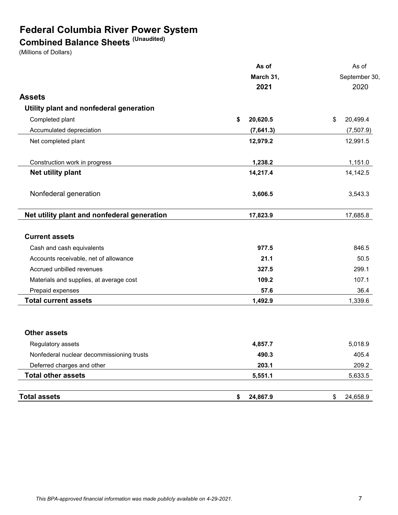## **Federal Columbia River Power System**

## **Combined Balance Sheets (Unaudited)**

(Millions of Dollars)

|                                             | As of          | As of          |
|---------------------------------------------|----------------|----------------|
|                                             | March 31,      | September 30,  |
|                                             | 2021           | 2020           |
| <b>Assets</b>                               |                |                |
| Utility plant and nonfederal generation     |                |                |
| Completed plant                             | \$<br>20,620.5 | 20,499.4<br>\$ |
| Accumulated depreciation                    | (7,641.3)      | (7,507.9)      |
| Net completed plant                         | 12,979.2       | 12,991.5       |
| Construction work in progress               | 1,238.2        | 1,151.0        |
| Net utility plant                           | 14,217.4       | 14,142.5       |
| Nonfederal generation                       | 3,606.5        | 3,543.3        |
| Net utility plant and nonfederal generation | 17,823.9       | 17,685.8       |
| <b>Current assets</b>                       |                |                |
| Cash and cash equivalents                   | 977.5          | 846.5          |
| Accounts receivable, net of allowance       | 21.1           | 50.5           |
| Accrued unbilled revenues                   | 327.5          | 299.1          |
| Materials and supplies, at average cost     | 109.2          | 107.1          |
| Prepaid expenses                            | 57.6           | 36.4           |
| <b>Total current assets</b>                 | 1,492.9        | 1,339.6        |
| <b>Other assets</b>                         |                |                |
| Regulatory assets                           | 4,857.7        | 5,018.9        |
| Nonfederal nuclear decommissioning trusts   | 490.3          | 405.4          |
| Deferred charges and other                  | 203.1          | 209.2          |
| <b>Total other assets</b>                   | 5,551.1        | 5,633.5        |
| <b>Total assets</b>                         | \$<br>24,867.9 | \$<br>24,658.9 |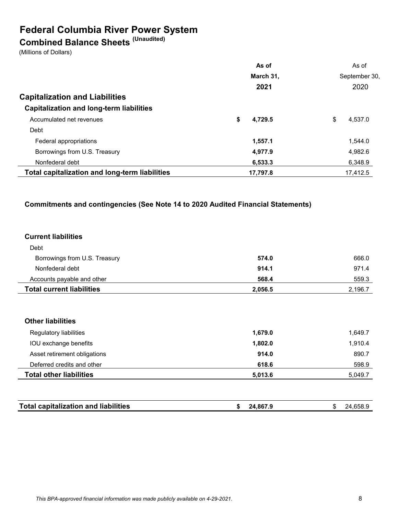## **Federal Columbia River Power System**

## **Combined Balance Sheets (Unaudited)**

(Millions of Dollars)

|                                                       | As of         | As of         |
|-------------------------------------------------------|---------------|---------------|
|                                                       | March 31,     | September 30, |
|                                                       | 2021          | 2020          |
| <b>Capitalization and Liabilities</b>                 |               |               |
| <b>Capitalization and long-term liabilities</b>       |               |               |
| Accumulated net revenues                              | \$<br>4,729.5 | \$<br>4.537.0 |
| Debt                                                  |               |               |
| Federal appropriations                                | 1,557.1       | 1.544.0       |
| Borrowings from U.S. Treasury                         | 4,977.9       | 4,982.6       |
| Nonfederal debt                                       | 6,533.3       | 6,348.9       |
| <b>Total capitalization and long-term liabilities</b> | 17,797.8      | 17,412.5      |

#### **Commitments and contingencies (See Note 14 to 2020 Audited Financial Statements)**

#### **Current liabilities**

| <b>Total current liabilities</b> | 2,056.5 | 2,196.7 |
|----------------------------------|---------|---------|
| Accounts payable and other       | 568.4   | 559.3   |
| Nonfederal debt                  | 914.1   | 971.4   |
| Borrowings from U.S. Treasury    | 574.0   | 666.0   |
| Debt                             |         |         |

#### **Other liabilities**

| Regulatory liabilities         | 1,679.0 | 1.649.7 |
|--------------------------------|---------|---------|
| IOU exchange benefits          | 1,802.0 | 1.910.4 |
| Asset retirement obligations   | 914.0   | 890.7   |
| Deferred credits and other     | 618.6   | 598.9   |
| <b>Total other liabilities</b> | 5,013.6 | 5.049.7 |

|  | <b>Total capitalization and liabilities</b> |  | 24.867.9 |  | 24 |
|--|---------------------------------------------|--|----------|--|----|
|--|---------------------------------------------|--|----------|--|----|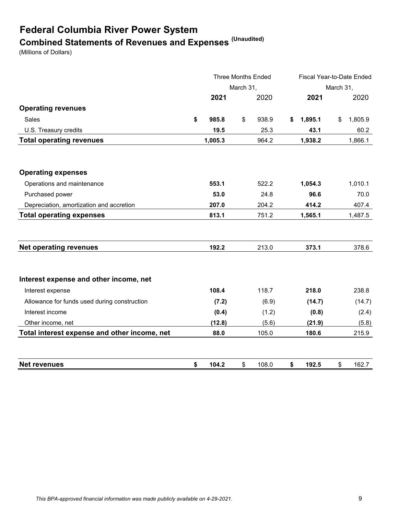# **Federal Columbia River Power System Combined Statements of Revenues and Expenses (Unaudited)**

(Millions of Dollars)

|                                              |    | <b>Three Months Ended</b><br>March 31, |    |       | Fiscal Year-to-Date Ended |           |    |         |
|----------------------------------------------|----|----------------------------------------|----|-------|---------------------------|-----------|----|---------|
|                                              |    |                                        |    |       |                           | March 31, |    |         |
|                                              |    | 2021                                   |    | 2020  |                           | 2021      |    | 2020    |
| <b>Operating revenues</b>                    |    |                                        |    |       |                           |           |    |         |
| <b>Sales</b>                                 | \$ | 985.8                                  | \$ | 938.9 | S                         | 1,895.1   | \$ | 1,805.9 |
| U.S. Treasury credits                        |    | 19.5                                   |    | 25.3  |                           | 43.1      |    | 60.2    |
| <b>Total operating revenues</b>              |    | 1,005.3                                |    | 964.2 |                           | 1,938.2   |    | 1,866.1 |
|                                              |    |                                        |    |       |                           |           |    |         |
| <b>Operating expenses</b>                    |    |                                        |    |       |                           |           |    |         |
| Operations and maintenance                   |    | 553.1                                  |    | 522.2 |                           | 1,054.3   |    | 1,010.1 |
| Purchased power                              |    | 53.0                                   |    | 24.8  |                           | 96.6      |    | 70.0    |
| Depreciation, amortization and accretion     |    | 207.0                                  |    | 204.2 |                           | 414.2     |    | 407.4   |
| <b>Total operating expenses</b>              |    | 813.1                                  |    | 751.2 |                           | 1,565.1   |    | 1,487.5 |
|                                              |    |                                        |    |       |                           |           |    |         |
| <b>Net operating revenues</b>                |    | 192.2                                  |    | 213.0 |                           | 373.1     |    | 378.6   |
| Interest expense and other income, net       |    |                                        |    |       |                           |           |    |         |
| Interest expense                             |    | 108.4                                  |    | 118.7 |                           | 218.0     |    | 238.8   |
| Allowance for funds used during construction |    | (7.2)                                  |    | (6.9) |                           | (14.7)    |    | (14.7)  |
| Interest income                              |    | (0.4)                                  |    | (1.2) |                           | (0.8)     |    | (2.4)   |
| Other income, net                            |    | (12.8)                                 |    | (5.6) |                           | (21.9)    |    | (5.8)   |
| Total interest expense and other income, net |    | 88.0                                   |    | 105.0 |                           | 180.6     |    | 215.9   |
|                                              |    |                                        |    |       |                           |           |    |         |
| <b>Net revenues</b>                          | \$ | 104.2                                  | \$ | 108.0 | \$                        | 192.5     | \$ | 162.7   |